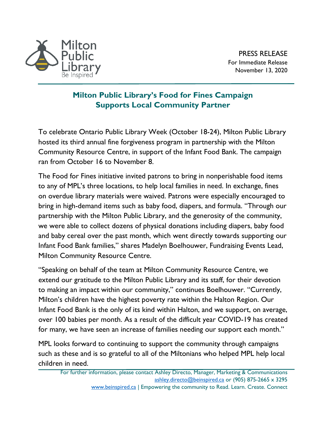

PRESS RELEASE For Immediate Release November 13, 2020

## **Milton Public Library's Food for Fines Campaign Supports Local Community Partner**

To celebrate Ontario Public Library Week (October 18-24), Milton Public Library hosted its third annual fine forgiveness program in partnership with the Milton Community Resource Centre, in support of the Infant Food Bank. The campaign ran from October 16 to November 8.

The Food for Fines initiative invited patrons to bring in nonperishable food items to any of MPL's three locations, to help local families in need. In exchange, fines on overdue library materials were waived. Patrons were especially encouraged to bring in high-demand items such as baby food, diapers, and formula. "Through our partnership with the Milton Public Library, and the generosity of the community, we were able to collect dozens of physical donations including diapers, baby food and baby cereal over the past month, which went directly towards supporting our Infant Food Bank families," shares Madelyn Boelhouwer, Fundraising Events Lead, Milton Community Resource Centre.

"Speaking on behalf of the team at Milton Community Resource Centre, we extend our gratitude to the Milton Public Library and its staff, for their devotion to making an impact within our community," continues Boelhouwer. "Currently, Milton's children have the highest poverty rate within the Halton Region. Our Infant Food Bank is the only of its kind within Halton, and we support, on average, over 100 babies per month. As a result of the difficult year COVID-19 has created for many, we have seen an increase of families needing our support each month."

MPL looks forward to continuing to support the community through campaigns such as these and is so grateful to all of the Miltonians who helped MPL help local children in need.